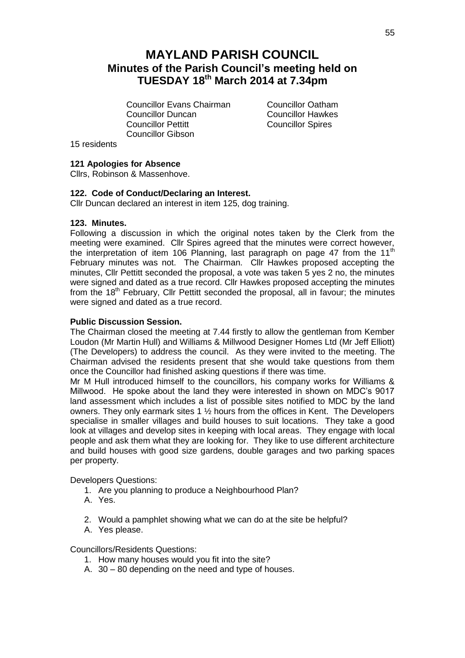# **MAYLAND PARISH COUNCIL Minutes of the Parish Council's meeting held on TUESDAY 18th March 2014 at 7.34pm**

Councillor Evans Chairman Councillor Oatham **Councillor Duncan** Councillor Hawkes<br>
Councillor Pettitt Councillor Spires Councillor Gibson

**Councillor Spires** 

15 residents

# **121 Apologies for Absence**

Cllrs, Robinson & Massenhove.

#### **122. Code of Conduct/Declaring an Interest.**

Cllr Duncan declared an interest in item 125, dog training.

#### **123. Minutes.**

Following a discussion in which the original notes taken by the Clerk from the meeting were examined. Cllr Spires agreed that the minutes were correct however, the interpretation of item 106 Planning, last paragraph on page 47 from the 11<sup>th</sup> February minutes was not. The Chairman. Cllr Hawkes proposed accepting the minutes, Cllr Pettitt seconded the proposal, a vote was taken 5 yes 2 no, the minutes were signed and dated as a true record. Cllr Hawkes proposed accepting the minutes from the 18<sup>th</sup> February, Cllr Pettitt seconded the proposal, all in favour; the minutes were signed and dated as a true record.

# **Public Discussion Session.**

The Chairman closed the meeting at 7.44 firstly to allow the gentleman from Kember Loudon (Mr Martin Hull) and Williams & Millwood Designer Homes Ltd (Mr Jeff Elliott) (The Developers) to address the council. As they were invited to the meeting. The Chairman advised the residents present that she would take questions from them once the Councillor had finished asking questions if there was time.

Mr M Hull introduced himself to the councillors, his company works for Williams & Millwood. He spoke about the land they were interested in shown on MDC's 9017 land assessment which includes a list of possible sites notified to MDC by the land owners. They only earmark sites 1 ½ hours from the offices in Kent. The Developers specialise in smaller villages and build houses to suit locations. They take a good look at villages and develop sites in keeping with local areas. They engage with local people and ask them what they are looking for. They like to use different architecture and build houses with good size gardens, double garages and two parking spaces per property.

Developers Questions:

- 1. Are you planning to produce a Neighbourhood Plan?
- A. Yes.
- 2. Would a pamphlet showing what we can do at the site be helpful?
- A. Yes please.

Councillors/Residents Questions:

- 1. How many houses would you fit into the site?
- A. 30 80 depending on the need and type of houses.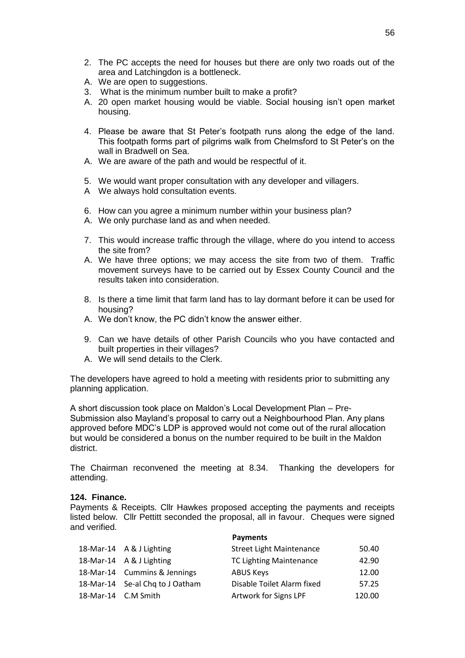- 2. The PC accepts the need for houses but there are only two roads out of the area and Latchingdon is a bottleneck.
- A. We are open to suggestions.
- 3. What is the minimum number built to make a profit?
- A. 20 open market housing would be viable. Social housing isn't open market housing.
- 4. Please be aware that St Peter's footpath runs along the edge of the land. This footpath forms part of pilgrims walk from Chelmsford to St Peter's on the wall in Bradwell on Sea.
- A. We are aware of the path and would be respectful of it.
- 5. We would want proper consultation with any developer and villagers.
- A We always hold consultation events.
- 6. How can you agree a minimum number within your business plan?
- A. We only purchase land as and when needed.
- 7. This would increase traffic through the village, where do you intend to access the site from?
- A. We have three options; we may access the site from two of them. Traffic movement surveys have to be carried out by Essex County Council and the results taken into consideration.
- 8. Is there a time limit that farm land has to lay dormant before it can be used for housing?
- A. We don't know, the PC didn't know the answer either.
- 9. Can we have details of other Parish Councils who you have contacted and built properties in their villages?
- A. We will send details to the Clerk.

The developers have agreed to hold a meeting with residents prior to submitting any planning application.

A short discussion took place on Maldon's Local Development Plan – Pre-Submission also Mayland's proposal to carry out a Neighbourhood Plan. Any plans approved before MDC's LDP is approved would not come out of the rural allocation but would be considered a bonus on the number required to be built in the Maldon district.

The Chairman reconvened the meeting at 8.34. Thanking the developers for attending.

#### **124. Finance.**

Payments & Receipts. Cllr Hawkes proposed accepting the payments and receipts listed below. Cllr Pettitt seconded the proposal, all in favour. Cheques were signed and verified.

|                     |                                 | <b>Payments</b>                 |        |
|---------------------|---------------------------------|---------------------------------|--------|
|                     | 18-Mar-14 A & J Lighting        | <b>Street Light Maintenance</b> | 50.40  |
|                     | 18-Mar-14 A & J Lighting        | <b>TC Lighting Maintenance</b>  | 42.90  |
|                     | 18-Mar-14 Cummins & Jennings    | <b>ABUS Keys</b>                | 12.00  |
|                     | 18-Mar-14 Se-al Chq to J Oatham | Disable Toilet Alarm fixed      | 57.25  |
| 18-Mar-14 C.M Smith |                                 | Artwork for Signs LPF           | 120.00 |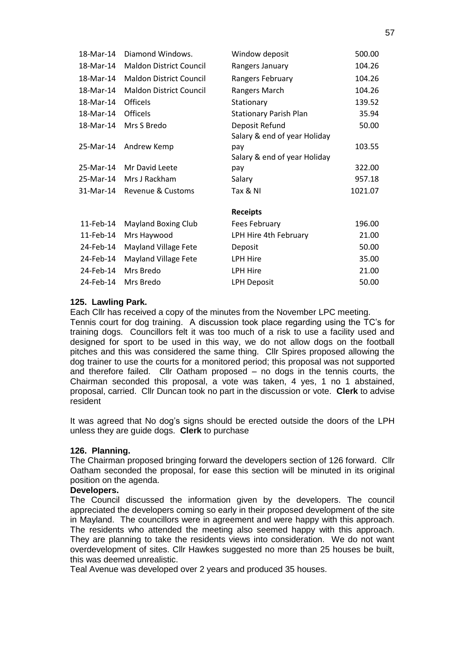| 18-Mar-14 | Diamond Windows.               | Window deposit                | 500.00  |
|-----------|--------------------------------|-------------------------------|---------|
| 18-Mar-14 | <b>Maldon District Council</b> | Rangers January               | 104.26  |
| 18-Mar-14 | <b>Maldon District Council</b> | Rangers February              | 104.26  |
| 18-Mar-14 | <b>Maldon District Council</b> | Rangers March                 | 104.26  |
| 18-Mar-14 | <b>Officels</b>                | Stationary                    | 139.52  |
| 18-Mar-14 | <b>Officels</b>                | <b>Stationary Parish Plan</b> | 35.94   |
| 18-Mar-14 | Mrs S Bredo                    | Deposit Refund                | 50.00   |
|           |                                | Salary & end of year Holiday  |         |
| 25-Mar-14 | Andrew Kemp                    | pay                           | 103.55  |
|           |                                | Salary & end of year Holiday  |         |
| 25-Mar-14 | Mr David Leete                 | pay                           | 322.00  |
| 25-Mar-14 | Mrs J Rackham                  | Salary                        | 957.18  |
| 31-Mar-14 | Revenue & Customs              | Tax & NI                      | 1021.07 |
|           |                                |                               |         |
|           |                                | <b>Receipts</b>               |         |
| 11-Feb-14 | <b>Mayland Boxing Club</b>     | Fees February                 | 196.00  |
| 11-Feb-14 | Mrs Haywood                    | LPH Hire 4th February         | 21.00   |
| 24-Feb-14 | Mayland Village Fete           | Deposit                       | 50.00   |
| 24-Feb-14 | <b>Mayland Village Fete</b>    | LPH Hire                      | 35.00   |
| 24-Feb-14 | Mrs Bredo                      | LPH Hire                      | 21.00   |
| 24-Feb-14 | Mrs Bredo                      | <b>LPH Deposit</b>            | 50.00   |

# **125. Lawling Park.**

Each Cllr has received a copy of the minutes from the November LPC meeting.

Tennis court for dog training. A discussion took place regarding using the TC's for training dogs. Councillors felt it was too much of a risk to use a facility used and designed for sport to be used in this way, we do not allow dogs on the football pitches and this was considered the same thing. Cllr Spires proposed allowing the dog trainer to use the courts for a monitored period; this proposal was not supported and therefore failed. Cllr Oatham proposed – no dogs in the tennis courts, the Chairman seconded this proposal, a vote was taken, 4 yes, 1 no 1 abstained, proposal, carried. Cllr Duncan took no part in the discussion or vote. **Clerk** to advise resident

It was agreed that No dog's signs should be erected outside the doors of the LPH unless they are guide dogs. **Clerk** to purchase

#### **126. Planning.**

The Chairman proposed bringing forward the developers section of 126 forward. Cllr Oatham seconded the proposal, for ease this section will be minuted in its original position on the agenda.

# **Developers.**

The Council discussed the information given by the developers. The council appreciated the developers coming so early in their proposed development of the site in Mayland. The councillors were in agreement and were happy with this approach. The residents who attended the meeting also seemed happy with this approach. They are planning to take the residents views into consideration. We do not want overdevelopment of sites. Cllr Hawkes suggested no more than 25 houses be built, this was deemed unrealistic.

Teal Avenue was developed over 2 years and produced 35 houses.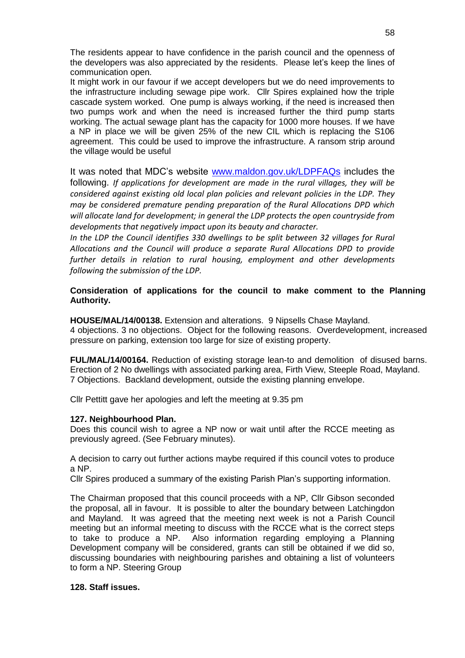The residents appear to have confidence in the parish council and the openness of the developers was also appreciated by the residents. Please let's keep the lines of communication open.

It might work in our favour if we accept developers but we do need improvements to the infrastructure including sewage pipe work. Cllr Spires explained how the triple cascade system worked. One pump is always working, if the need is increased then two pumps work and when the need is increased further the third pump starts working. The actual sewage plant has the capacity for 1000 more houses. If we have a NP in place we will be given 25% of the new CIL which is replacing the S106 agreement. This could be used to improve the infrastructure. A ransom strip around the village would be useful

It was noted that MDC's website [www.maldon.gov.uk/LDPFAQs](http://www.maldon.gov.uk/LDPFAQs) includes the following. *If applications for development are made in the rural villages, they will be considered against existing old local plan policies and relevant policies in the LDP. They may be considered premature pending preparation of the Rural Allocations DPD which will allocate land for development; in general the LDP protects the open countryside from developments that negatively impact upon its beauty and character.* 

*In the LDP the Council identifies 330 dwellings to be split between 32 villages for Rural Allocations and the Council will produce a separate Rural Allocations DPD to provide further details in relation to rural housing, employment and other developments following the submission of the LDP.*

# **Consideration of applications for the council to make comment to the Planning Authority.**

**HOUSE/MAL/14/00138.** Extension and alterations. 9 Nipsells Chase Mayland. 4 objections. 3 no objections. Object for the following reasons. Overdevelopment, increased pressure on parking, extension too large for size of existing property.

**FUL/MAL/14/00164.** Reduction of existing storage lean-to and demolition of disused barns. Erection of 2 No dwellings with associated parking area, Firth View, Steeple Road, Mayland. 7 Objections. Backland development, outside the existing planning envelope.

Cllr Pettitt gave her apologies and left the meeting at 9.35 pm

# **127. Neighbourhood Plan.**

Does this council wish to agree a NP now or wait until after the RCCE meeting as previously agreed. (See February minutes).

A decision to carry out further actions maybe required if this council votes to produce a NP.

Cllr Spires produced a summary of the existing Parish Plan's supporting information.

The Chairman proposed that this council proceeds with a NP, Cllr Gibson seconded the proposal, all in favour. It is possible to alter the boundary between Latchingdon and Mayland. It was agreed that the meeting next week is not a Parish Council meeting but an informal meeting to discuss with the RCCE what is the correct steps to take to produce a NP. Also information regarding employing a Planning Development company will be considered, grants can still be obtained if we did so, discussing boundaries with neighbouring parishes and obtaining a list of volunteers to form a NP. Steering Group

#### **128. Staff issues.**